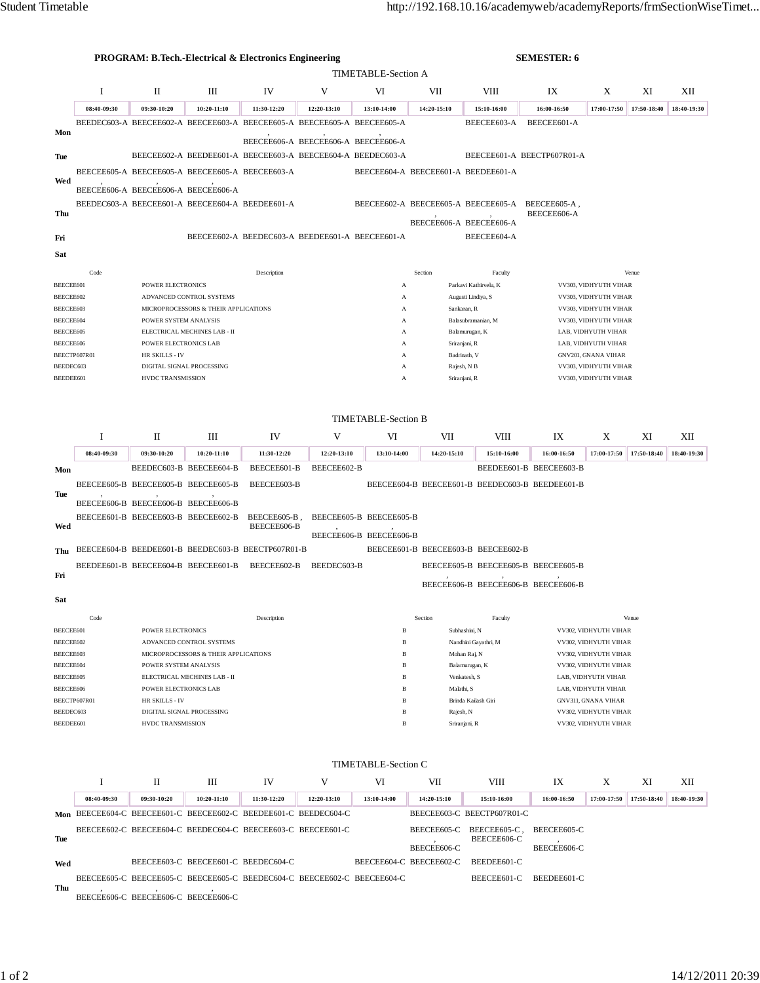|                                                                          | <b>PROGRAM: B.Tech.-Electrical &amp; Electronics Engineering</b> |                                                       |                                                                         |              |                                                 |                                          |                                      | <b>SEMESTER: 6</b>                               |                                                |                                              |             |             |  |  |
|--------------------------------------------------------------------------|------------------------------------------------------------------|-------------------------------------------------------|-------------------------------------------------------------------------|--------------|-------------------------------------------------|------------------------------------------|--------------------------------------|--------------------------------------------------|------------------------------------------------|----------------------------------------------|-------------|-------------|--|--|
| <b>TIMETABLE-Section A</b>                                               |                                                                  |                                                       |                                                                         |              |                                                 |                                          |                                      |                                                  |                                                |                                              |             |             |  |  |
|                                                                          | Ι                                                                | П                                                     | Ш                                                                       | IV           | V                                               | VI                                       | VII                                  | <b>VIII</b>                                      | IX                                             | X                                            | XI          | XII         |  |  |
|                                                                          | 08:40-09:30                                                      | 09:30-10:20                                           | 10:20-11:10                                                             | 11:30-12:20  | 12:20-13:10                                     | 13:10-14:00                              | 14:20-15:10                          | 15:10-16:00                                      | 16:00-16:50                                    | 17:00-17:50                                  | 17:50-18:40 | 18:40-19:30 |  |  |
|                                                                          |                                                                  |                                                       | BEEDEC603-A BEECEE602-A BEECEE603-A BEECEE605-A BEECEE605-A BEECEE605-A |              |                                                 |                                          |                                      | BEECEE603-A                                      | BEECEE601-A                                    |                                              |             |             |  |  |
| Mon                                                                      |                                                                  |                                                       |                                                                         |              | BEECEE606-A BEECEE606-A BEECEE606-A             |                                          |                                      |                                                  |                                                |                                              |             |             |  |  |
| Tue                                                                      |                                                                  |                                                       | BEECEE602-A BEEDEE601-A BEECEE603-A BEECEE604-A BEEDEC603-A             |              |                                                 |                                          |                                      |                                                  | BEECEE601-A BEECTP607R01-A                     |                                              |             |             |  |  |
|                                                                          |                                                                  |                                                       | BEECEE605-A BEECEE605-A BEECEE605-A BEECEE603-A                         |              |                                                 | BEECEE604-A BEECEE601-A BEEDEE601-A      |                                      |                                                  |                                                |                                              |             |             |  |  |
| Wed                                                                      | BEECEE606-A BEECEE606-A BEECEE606-A                              |                                                       |                                                                         |              |                                                 |                                          |                                      |                                                  |                                                |                                              |             |             |  |  |
|                                                                          |                                                                  |                                                       | BEEDEC603-A BEECEE601-A BEECEE604-A BEEDEE601-A                         |              |                                                 |                                          |                                      | BEECEE602-A BEECEE605-A BEECEE605-A BEECEE605-A, |                                                |                                              |             |             |  |  |
| Thu                                                                      |                                                                  |                                                       |                                                                         |              |                                                 |                                          |                                      | BEECEE606-A BEECEE606-A                          | BEECEE606-A                                    |                                              |             |             |  |  |
| Fri                                                                      |                                                                  |                                                       |                                                                         |              | BEECEE602-A BEEDEC603-A BEEDEE601-A BEECEE601-A |                                          |                                      | BEECEE604-A                                      |                                                |                                              |             |             |  |  |
| Sat                                                                      |                                                                  |                                                       |                                                                         |              |                                                 |                                          |                                      |                                                  |                                                |                                              |             |             |  |  |
|                                                                          |                                                                  |                                                       |                                                                         |              |                                                 |                                          |                                      |                                                  |                                                |                                              |             |             |  |  |
| BEECEE601                                                                | Code                                                             | <b>POWER ELECTRONICS</b>                              |                                                                         | Description  |                                                 | A                                        | Section                              | Faculty<br>Parkavi Kathirvelu, K                 |                                                | VV303, VIDHYUTH VIHAR                        | Venue       |             |  |  |
| BEECEE602                                                                |                                                                  |                                                       | ADVANCED CONTROL SYSTEMS                                                |              |                                                 | А                                        |                                      | Augusti Lindiya, S                               |                                                | VV303, VIDHYUTH VIHAR                        |             |             |  |  |
| BEECEE603                                                                |                                                                  |                                                       | MICROPROCESSORS & THEIR APPLICATIONS                                    |              |                                                 | А                                        |                                      | Sankaran, R                                      |                                                | VV303, VIDHYUTH VIHAR                        |             |             |  |  |
| BEECEE604<br>BEECEE605                                                   |                                                                  | POWER SYSTEM ANALYSIS                                 | ELECTRICAL MECHINES LAB - II                                            |              |                                                 | A<br>A                                   |                                      | Balasubramanian, M<br>Balamurugan, K             |                                                | VV303, VIDHYUTH VIHAR<br>LAB. VIDHYUTH VIHAR |             |             |  |  |
| BEECEE606                                                                |                                                                  | POWER ELECTRONICS LAB                                 |                                                                         |              |                                                 | A                                        | Sriranjani, R<br>LAB, VIDHYUTH VIHAR |                                                  |                                                |                                              |             |             |  |  |
|                                                                          | BEECTP607R01                                                     | HR SKILLS - IV                                        |                                                                         |              |                                                 | Badrinath, V<br>А                        |                                      |                                                  | GNV201, GNANA VIHAR                            |                                              |             |             |  |  |
| BEEDEC603<br>BEEDEE601                                                   |                                                                  | HVDC TRANSMISSION                                     | DIGITAL SIGNAL PROCESSING                                               |              |                                                 | A<br>A                                   |                                      | Rajesh, N B                                      |                                                | VV303, VIDHYUTH VIHAR                        |             |             |  |  |
|                                                                          |                                                                  |                                                       |                                                                         |              | Sriranjani, R<br>VV303, VIDHYUTH VIHAR          |                                          |                                      |                                                  |                                                |                                              |             |             |  |  |
|                                                                          |                                                                  |                                                       |                                                                         |              |                                                 |                                          |                                      |                                                  |                                                |                                              |             |             |  |  |
|                                                                          |                                                                  |                                                       |                                                                         |              |                                                 | <b>TIMETABLE-Section B</b>               |                                      |                                                  |                                                |                                              |             |             |  |  |
|                                                                          | Ι.                                                               | П                                                     | Ш                                                                       | IV           | V                                               | VI                                       | VII                                  | VIII                                             | IX                                             | X                                            | XI          | XІІ         |  |  |
|                                                                          | 08:40-09:30                                                      | 09:30-10:20                                           | 10:20-11:10                                                             | 11:30-12:20  | 12:20-13:10                                     | 13:10-14:00                              | 14:20-15:10                          | 15:10-16:00                                      | 16:00-16:50                                    | 17:00-17:50                                  | 17:50-18:40 | 18:40-19:30 |  |  |
| Mon                                                                      |                                                                  |                                                       | BEEDEC603-B BEECEE604-B                                                 | BEECEE601-B  | BEECEE602-B                                     |                                          |                                      |                                                  | BEEDEE601-B BEECEE603-B                        |                                              |             |             |  |  |
|                                                                          |                                                                  |                                                       | BEECEE605-B BEECEE605-B BEECEE605-B                                     | BEECEE603-B  |                                                 |                                          |                                      | BEECEE604-B BEECEE601-B BEEDEC603-B BEEDEE601-B  |                                                |                                              |             |             |  |  |
| Tue                                                                      | BEECEE606-B BEECEE606-B BEECEE606-B                              |                                                       |                                                                         |              |                                                 |                                          |                                      |                                                  |                                                |                                              |             |             |  |  |
|                                                                          |                                                                  |                                                       | BEECEE601-B BEECEE603-B BEECEE602-B                                     | BEECEE605-B, |                                                 | BEECEE605-B BEECEE605-B                  |                                      |                                                  |                                                |                                              |             |             |  |  |
| Wed                                                                      |                                                                  |                                                       |                                                                         | BEECEE606-B  |                                                 | BEECEE606-B BEECEE606-B                  |                                      |                                                  |                                                |                                              |             |             |  |  |
| Thu                                                                      |                                                                  |                                                       | BEECEE604-B BEEDEE601-B BEEDEC603-B BEECTP607R01-B                      |              |                                                 |                                          |                                      | BEECEE601-B BEECEE603-B BEECEE602-B              |                                                |                                              |             |             |  |  |
|                                                                          |                                                                  |                                                       | BEEDEE601-B BEECEE604-B BEECEE601-B                                     | BEECEE602-B  | BEEDEC603-B                                     |                                          |                                      | BEECEE605-B BEECEE605-B BEECEE605-B              |                                                |                                              |             |             |  |  |
| Fri                                                                      |                                                                  |                                                       |                                                                         |              |                                                 |                                          |                                      |                                                  |                                                |                                              |             |             |  |  |
|                                                                          |                                                                  |                                                       |                                                                         |              |                                                 |                                          |                                      | BEECEE606-B BEECEE606-B BEECEE606-B              |                                                |                                              |             |             |  |  |
| Sat                                                                      |                                                                  |                                                       |                                                                         |              |                                                 |                                          |                                      |                                                  |                                                |                                              |             |             |  |  |
|                                                                          | Code                                                             |                                                       |                                                                         | Description  |                                                 | B                                        | Section                              | Faculty                                          |                                                |                                              | Venue       |             |  |  |
| BEECEE601<br>BEECEE602                                                   |                                                                  | POWER ELECTRONICS<br>ADVANCED CONTROL SYSTEMS         |                                                                         |              |                                                 | B                                        |                                      | Subhashini, N<br>Nandhini Gayathri, M            | VV302, VIDHYUTH VIHAR<br>VV302, VIDHYUTH VIHAR |                                              |             |             |  |  |
| BEECEE603                                                                |                                                                  | MICROPROCESSORS & THEIR APPLICATIONS                  |                                                                         |              |                                                 | B                                        |                                      | Mohan Raj, N                                     | VV302, VIDHYUTH VIHAR                          |                                              |             |             |  |  |
| BEECEE604                                                                |                                                                  | POWER SYSTEM ANALYSIS<br>ELECTRICAL MECHINES LAB - II |                                                                         |              |                                                 | B<br>Balamurugan, K<br>в<br>Venkatesh, S |                                      |                                                  | VV302, VIDHYUTH VIHAR<br>LAB, VIDHYUTH VIHAR   |                                              |             |             |  |  |
| BEECEE605<br>BEECEE606                                                   |                                                                  | POWER ELECTRONICS LAB                                 |                                                                         |              |                                                 | B                                        | Malathi, S                           |                                                  | LAB, VIDHYUTH VIHAR                            |                                              |             |             |  |  |
| BEECTP607R01                                                             |                                                                  |                                                       | HR SKILLS - IV                                                          |              |                                                 | B<br>Brinda Kailash Giri                 |                                      |                                                  | GNV311, GNANA VIHAR                            |                                              |             |             |  |  |
|                                                                          | BEEDEC603                                                        |                                                       | DIGITAL SIGNAL PROCESSING                                               |              |                                                 | B<br>B                                   | Rajesh, N                            |                                                  |                                                | VV302, VIDHYUTH VIHAR                        |             |             |  |  |
| BEEDEE601<br>HVDC TRANSMISSION<br>VV302, VIDHYUTH VIHAR<br>Sriranjani, R |                                                                  |                                                       |                                                                         |              |                                                 |                                          |                                      |                                                  |                                                |                                              |             |             |  |  |
|                                                                          |                                                                  |                                                       |                                                                         |              |                                                 |                                          |                                      |                                                  |                                                |                                              |             |             |  |  |
| <b>TIMETABLE-Section C</b>                                               |                                                                  |                                                       |                                                                         |              |                                                 |                                          |                                      |                                                  |                                                |                                              |             |             |  |  |
|                                                                          | Ι                                                                | П                                                     | Ш                                                                       | IV           | V                                               | VI                                       | VII                                  | VIII                                             | IX                                             | X                                            | XI          | XII         |  |  |
|                                                                          | 08:40-09:30                                                      | 09:30-10:20                                           | 10:20-11:10                                                             | 11:30-12:20  | 12:20-13:10                                     | 13:10-14:00                              | 14:20-15:10                          | 15:10-16:00                                      | 16:00-16:50                                    | 17:00-17:50                                  | 17:50-18:40 | 18:40-19:30 |  |  |
| Mon                                                                      |                                                                  |                                                       | BEECEE604-C BEECEE601-C BEECEE602-C BEEDEE601-C BEEDEC604-C             |              |                                                 |                                          |                                      | BEECEE603-C BEECTP607R01-C                       |                                                |                                              |             |             |  |  |
|                                                                          |                                                                  |                                                       | BEECEE602-C BEECEE604-C BEEDEC604-C BEECEE603-C BEECEE601-C             |              |                                                 |                                          | BEECEE605-C                          | BEECEE605-C,                                     | BEECEE605-C                                    |                                              |             |             |  |  |
| Tue                                                                      |                                                                  |                                                       |                                                                         |              |                                                 |                                          | BEECEE606-C                          | BEECEE606-C                                      | BEECEE606-C                                    |                                              |             |             |  |  |
| Wed                                                                      |                                                                  |                                                       | BEECEE603-C BEECEE601-C BEEDEC604-C                                     |              |                                                 | BEECEE604-C BEECEE602-C                  |                                      | BEEDEE601-C                                      |                                                |                                              |             |             |  |  |
|                                                                          |                                                                  |                                                       | BEECEE605-C BEECEE605-C BEECEE605-C BEEDEC604-C BEECEE602-C BEECEE604-C |              |                                                 |                                          |                                      | BEECEE601-C                                      | BEEDEE601-C                                    |                                              |             |             |  |  |
| Thu                                                                      | BEECEE606-C BEECEE606-C BEECEE606-C                              |                                                       |                                                                         |              |                                                 |                                          |                                      |                                                  |                                                |                                              |             |             |  |  |
|                                                                          |                                                                  |                                                       |                                                                         |              |                                                 |                                          |                                      |                                                  |                                                |                                              |             |             |  |  |